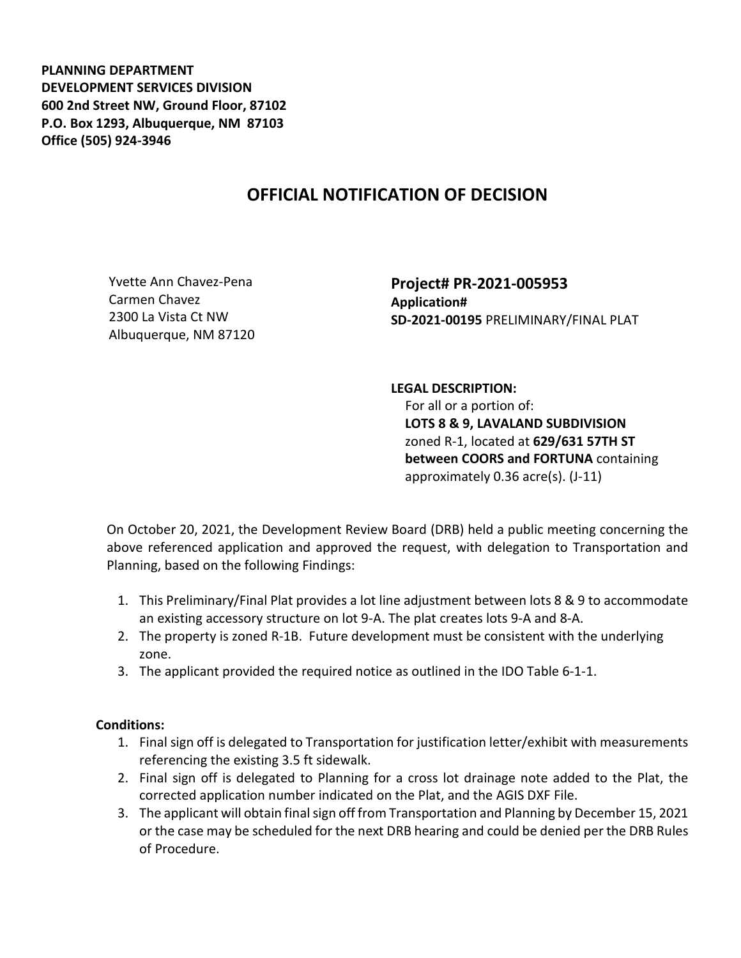**PLANNING DEPARTMENT DEVELOPMENT SERVICES DIVISION 600 2nd Street NW, Ground Floor, 87102 P.O. Box 1293, Albuquerque, NM 87103 Office (505) 924-3946** 

## **OFFICIAL NOTIFICATION OF DECISION**

Yvette Ann Chavez-Pena Carmen Chavez 2300 La Vista Ct NW Albuquerque, NM 87120 **Project# PR-2021-005953 Application# SD-2021-00195** PRELIMINARY/FINAL PLAT

## **LEGAL DESCRIPTION:**

 For all or a portion of: **LOTS 8 & 9, LAVALAND SUBDIVISION** zoned R-1, located at **629/631 57TH ST between COORS and FORTUNA** containing approximately 0.36 acre(s). (J-11)

On October 20, 2021, the Development Review Board (DRB) held a public meeting concerning the above referenced application and approved the request, with delegation to Transportation and Planning, based on the following Findings:

- 1. This Preliminary/Final Plat provides a lot line adjustment between lots 8 & 9 to accommodate an existing accessory structure on lot 9-A. The plat creates lots 9-A and 8-A.
- 2. The property is zoned R-1B. Future development must be consistent with the underlying zone.
- 3. The applicant provided the required notice as outlined in the IDO Table 6-1-1.

## **Conditions:**

- 1. Final sign off is delegated to Transportation for justification letter/exhibit with measurements referencing the existing 3.5 ft sidewalk.
- 2. Final sign off is delegated to Planning for a cross lot drainage note added to the Plat, the corrected application number indicated on the Plat, and the AGIS DXF File.
- 3. The applicant will obtain final sign off from Transportation and Planning by December 15, 2021 or the case may be scheduled for the next DRB hearing and could be denied per the DRB Rules of Procedure.